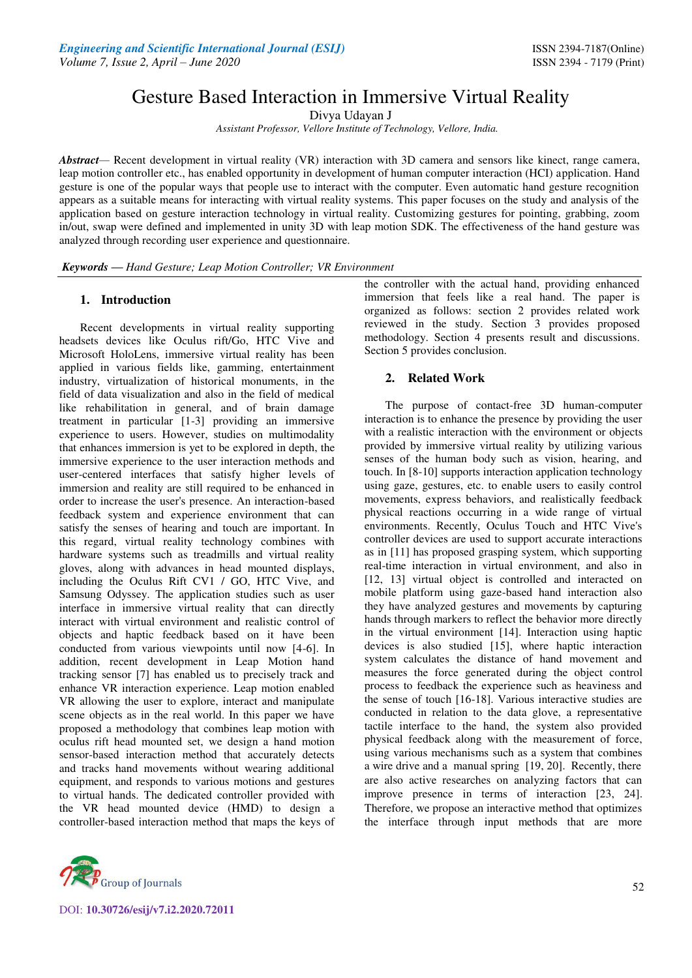# Gesture Based Interaction in Immersive Virtual Reality

Divya Udayan J

*Assistant Professor, Vellore Institute of Technology, Vellore, India.* 

*Abstract—* Recent development in virtual reality (VR) interaction with 3D camera and sensors like kinect, range camera, leap motion controller etc., has enabled opportunity in development of human computer interaction (HCI) application. Hand gesture is one of the popular ways that people use to interact with the computer. Even automatic hand gesture recognition appears as a suitable means for interacting with virtual reality systems. This paper focuses on the study and analysis of the application based on gesture interaction technology in virtual reality. Customizing gestures for pointing, grabbing, zoom in/out, swap were defined and implemented in unity 3D with leap motion SDK. The effectiveness of the hand gesture was analyzed through recording user experience and questionnaire.

*Keywords* **—** *Hand Gesture; Leap Motion Controller; VR Environment* 

# **1. Introduction**

Recent developments in virtual reality supporting headsets devices like Oculus rift/Go, HTC Vive and Microsoft HoloLens, immersive virtual reality has been applied in various fields like, gamming, entertainment industry, virtualization of historical monuments, in the field of data visualization and also in the field of medical like rehabilitation in general, and of brain damage treatment in particular [1-3] providing an immersive experience to users. However, studies on multimodality that enhances immersion is yet to be explored in depth, the immersive experience to the user interaction methods and user-centered interfaces that satisfy higher levels of immersion and reality are still required to be enhanced in order to increase the user's presence. An interaction-based feedback system and experience environment that can satisfy the senses of hearing and touch are important. In this regard, virtual reality technology combines with hardware systems such as treadmills and virtual reality gloves, along with advances in head mounted displays, including the Oculus Rift CV1 / GO, HTC Vive, and Samsung Odyssey. The application studies such as user interface in immersive virtual reality that can directly interact with virtual environment and realistic control of objects and haptic feedback based on it have been conducted from various viewpoints until now [4-6]. In addition, recent development in Leap Motion hand tracking sensor [7] has enabled us to precisely track and enhance VR interaction experience. Leap motion enabled VR allowing the user to explore, interact and manipulate scene objects as in the real world. In this paper we have proposed a methodology that combines leap motion with oculus rift head mounted set, we design a hand motion sensor-based interaction method that accurately detects and tracks hand movements without wearing additional equipment, and responds to various motions and gestures to virtual hands. The dedicated controller provided with the VR head mounted device (HMD) to design a controller-based interaction method that maps the keys of



the controller with the actual hand, providing enhanced immersion that feels like a real hand. The paper is organized as follows: section 2 provides related work reviewed in the study. Section 3 provides proposed methodology. Section 4 presents result and discussions. Section 5 provides conclusion.

# **2. Related Work**

The purpose of contact-free 3D human-computer interaction is to enhance the presence by providing the user with a realistic interaction with the environment or objects provided by immersive virtual reality by utilizing various senses of the human body such as vision, hearing, and touch. In [8-10] supports interaction application technology using gaze, gestures, etc. to enable users to easily control movements, express behaviors, and realistically feedback physical reactions occurring in a wide range of virtual environments. Recently, Oculus Touch and HTC Vive's controller devices are used to support accurate interactions as in [11] has proposed grasping system, which supporting real-time interaction in virtual environment, and also in [12, 13] virtual object is controlled and interacted on mobile platform using gaze-based hand interaction also they have analyzed gestures and movements by capturing hands through markers to reflect the behavior more directly in the virtual environment [14]. Interaction using haptic devices is also studied [15], where haptic interaction system calculates the distance of hand movement and measures the force generated during the object control process to feedback the experience such as heaviness and the sense of touch [16-18]. Various interactive studies are conducted in relation to the data glove, a representative tactile interface to the hand, the system also provided physical feedback along with the measurement of force, using various mechanisms such as a system that combines a wire drive and a manual spring [19, 20]. Recently, there are also active researches on analyzing factors that can improve presence in terms of interaction [23, 24]. Therefore, we propose an interactive method that optimizes the interface through input methods that are more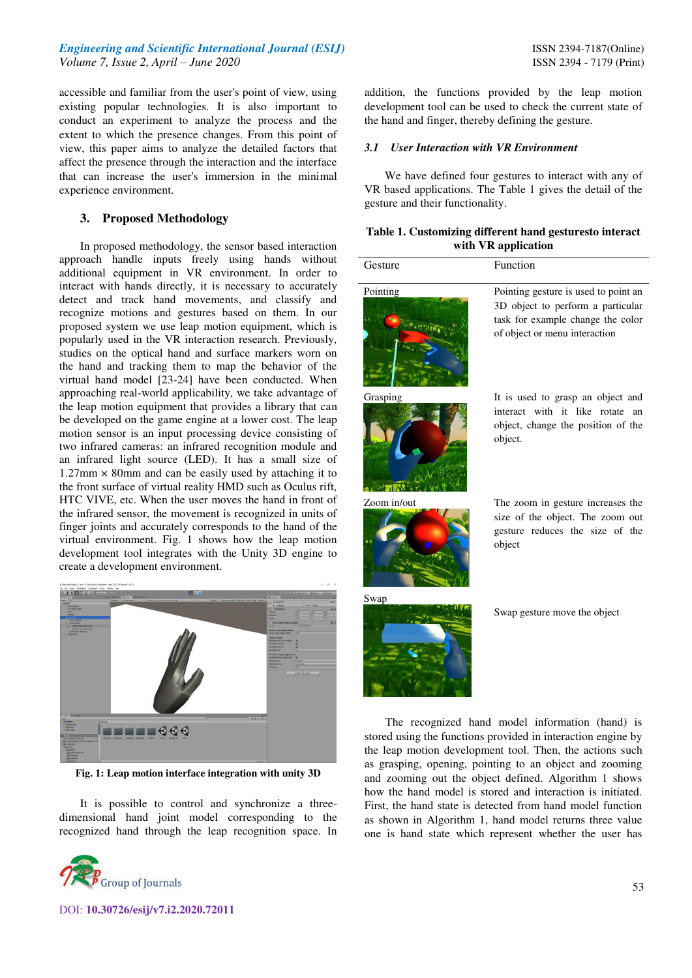# *Engineering and Scientific International Journal (ESIJ)* **ISSN 2394-7187(Online) ISSN 2394-7187(Online)** *Volume 7, Issue 2, April – June 2020* ISSN 2394 - 7179 (Print)

accessible and familiar from the user's point of view, using existing popular technologies. It is also important to conduct an experiment to analyze the process and the extent to which the presence changes. From this point of view, this paper aims to analyze the detailed factors that affect the presence through the interaction and the interface that can increase the user's immersion in the minimal experience environment.

## **3. Proposed Methodology**

In proposed methodology, the sensor based interaction approach handle inputs freely using hands without additional equipment in VR environment. In order to interact with hands directly, it is necessary to accurately detect and track hand movements, and classify and recognize motions and gestures based on them. In our proposed system we use leap motion equipment, which is popularly used in the VR interaction research. Previously, studies on the optical hand and surface markers worn on the hand and tracking them to map the behavior of the virtual hand model [23-24] have been conducted. When approaching real-world applicability, we take advantage of the leap motion equipment that provides a library that can be developed on the game engine at a lower cost. The leap motion sensor is an input processing device consisting of two infrared cameras: an infrared recognition module and an infrared light source (LED). It has a small size of  $1.27$ mm  $\times$  80mm and can be easily used by attaching it to the front surface of virtual reality HMD such as Oculus rift, HTC VIVE, etc. When the user moves the hand in front of the infrared sensor, the movement is recognized in units of finger joints and accurately corresponds to the hand of the virtual environment. Fig. 1 shows how the leap motion development tool integrates with the Unity 3D engine to create a development environment.



**Fig. 1: Leap motion interface integration with unity 3D** 

It is possible to control and synchronize a threedimensional hand joint model corresponding to the recognized hand through the leap recognition space. In



DOI: **10.30726/esij/v7.i2.2020.72011**

addition, the functions provided by the leap motion development tool can be used to check the current state of the hand and finger, thereby defining the gesture.

## *3.1 User Interaction with VR Environment*

 We have defined four gestures to interact with any of VR based applications. The Table 1 gives the detail of the gesture and their functionality.

#### **Table 1. Customizing different hand gesturesto interact with VR application**

| Gesture     | Function                                                                                                                                                                                                                                                                                                                                                                                                                    |
|-------------|-----------------------------------------------------------------------------------------------------------------------------------------------------------------------------------------------------------------------------------------------------------------------------------------------------------------------------------------------------------------------------------------------------------------------------|
| Pointing    | Pointing gesture is used to point an<br>3D object to perform a particular<br>task for example change the color<br>of object or menu interaction                                                                                                                                                                                                                                                                             |
| Grasping    | It is used to grasp an object and<br>interact with it like rotate<br>an<br>object, change the position of the<br>object.                                                                                                                                                                                                                                                                                                    |
| Zoom in/out | The zoom in gesture increases the<br>size of the object. The zoom out<br>gesture reduces the size of the<br>object                                                                                                                                                                                                                                                                                                          |
| Swap        | Swap gesture move the object                                                                                                                                                                                                                                                                                                                                                                                                |
|             | The recognized hand model information (hand) is<br>stored using the functions provided in interaction engine by<br>the leap motion development tool. Then, the actions such<br>as grasping, opening, pointing to an object and zooming<br>and zooming out the object defined. Algorithm 1 shows<br>how the hand model is stored and interaction is initiated.<br>First, the hand state is detected from hand model function |

as shown in Algorithm 1, hand model returns three value one is hand state which represent whether the user has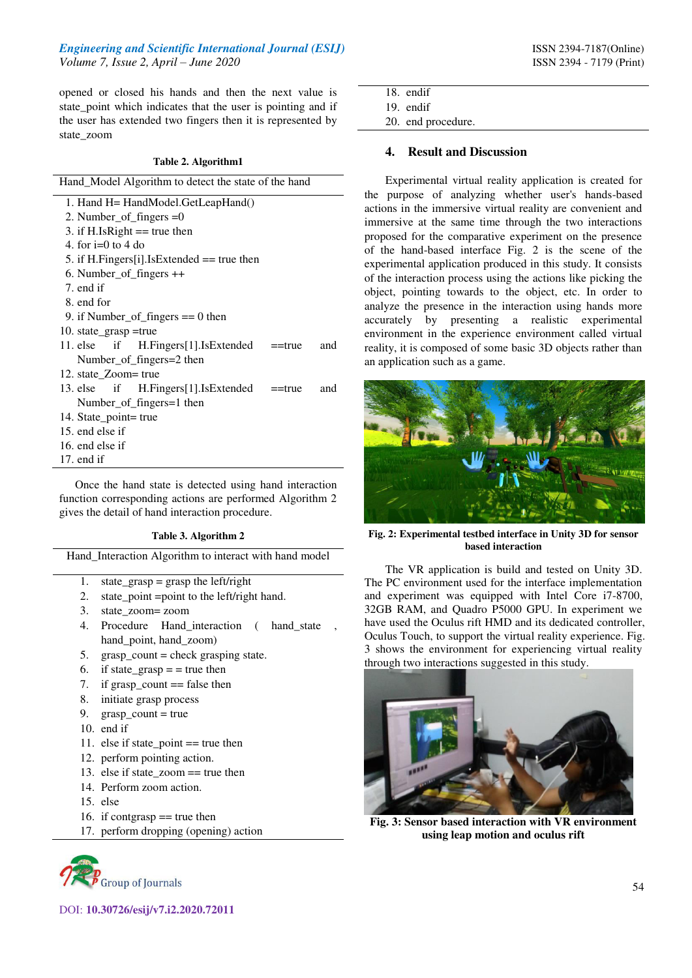opened or closed his hands and then the next value is state\_point which indicates that the user is pointing and if the user has extended two fingers then it is represented by state\_zoom

#### **Table 2. Algorithm1**

| Hand_Model Algorithm to detect the state of the hand   |
|--------------------------------------------------------|
| 1. Hand H = HandModel.GetLeapHand()                    |
| 2. Number_of_fingers $=0$                              |
| 3. if H.IsRight $==$ true then                         |
| 4. for $i=0$ to 4 do                                   |
| 5. if H.Fingers[i].IsExtended $==$ true then           |
| $6.$ Number_of_fingers $++$                            |
| 7. end if                                              |
| 8. end for                                             |
| 9. if Number_of_fingers $== 0$ then                    |
| 10. state_grasp =true                                  |
| 11. else if H.Fingers[1].IsExtended ==true<br>and      |
| Number_of_fingers=2 then                               |
| 12. state_Zoom= true                                   |
| 13. else if H.Fingers[1].IsExtended ==true<br>and      |
| Number_of_fingers=1 then                               |
| 14. State_point= true                                  |
| 15. end else if                                        |
| 16. end else if                                        |
| 17. end if                                             |
| Once the hand state is detected using hand interaction |

Once the hand state is detected using hand interaction function corresponding actions are performed Algorithm 2 gives the detail of hand interaction procedure.

#### **Table 3. Algorithm 2**

Hand\_Interaction Algorithm to interact with hand model

- 1. state\_grasp = grasp the left/right
- 2. state point =point to the left/right hand.
- 3. state\_zoom= zoom
- 4. Procedure Hand interaction ( hand state hand\_point, hand\_zoom)
- 5. grasp  $count = check$  grasping state.
- 6. if state\_grasp  $=$  = true then
- 7. if grasp count  $==$  false then
- 8. initiate grasp process
- 9. grasp  $count = true$
- 10. end if
- 11. else if state\_point == true then
- 12. perform pointing action.
- 13. else if state  $z$ oom  $==$  true then
- 14. Perform zoom action.
- 15. else
- 16. if contgrasp  $==$  true then
- 17. perform dropping (opening) action



- 
- 18. endif 19. endif

20. end procedure.

#### **4. Result and Discussion**

Experimental virtual reality application is created for the purpose of analyzing whether user's hands-based actions in the immersive virtual reality are convenient and immersive at the same time through the two interactions proposed for the comparative experiment on the presence of the hand-based interface Fig. 2 is the scene of the experimental application produced in this study. It consists of the interaction process using the actions like picking the object, pointing towards to the object, etc. In order to analyze the presence in the interaction using hands more accurately by presenting a realistic experimental environment in the experience environment called virtual reality, it is composed of some basic 3D objects rather than an application such as a game.



**Fig. 2: Experimental testbed interface in Unity 3D for sensor based interaction** 

The VR application is build and tested on Unity 3D. The PC environment used for the interface implementation and experiment was equipped with Intel Core i7-8700, 32GB RAM, and Quadro P5000 GPU. In experiment we have used the Oculus rift HMD and its dedicated controller, Oculus Touch, to support the virtual reality experience. Fig. 3 shows the environment for experiencing virtual reality through two interactions suggested in this study.



**Fig. 3: Sensor based interaction with VR environment using leap motion and oculus rift**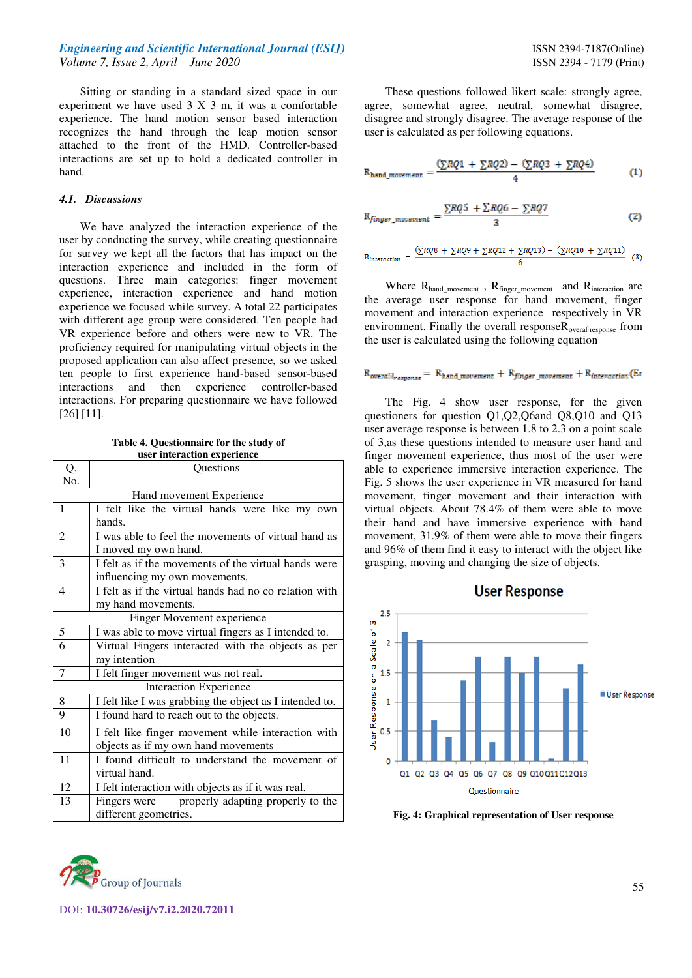## *Engineering and Scientific International Journal (ESIJ)* **ISSN 2394-7187(Online) ISSN** 2394-7187(Online) *Volume 7, Issue 2, April – June 2020* ISSN 2394 - 7179 (Print)

Sitting or standing in a standard sized space in our experiment we have used 3 X 3 m, it was a comfortable experience. The hand motion sensor based interaction recognizes the hand through the leap motion sensor attached to the front of the HMD. Controller-based interactions are set up to hold a dedicated controller in hand.

## *4.1. Discussions*

 $\overline{\phantom{0}}$ 

We have analyzed the interaction experience of the user by conducting the survey, while creating questionnaire for survey we kept all the factors that has impact on the interaction experience and included in the form of questions. Three main categories: finger movement experience, interaction experience and hand motion experience we focused while survey. A total 22 participates with different age group were considered. Ten people had VR experience before and others were new to VR. The proficiency required for manipulating virtual objects in the proposed application can also affect presence, so we asked ten people to first experience hand-based sensor-based interactions and then experience controller-based interactions. For preparing questionnaire we have followed [26] [11].

**Table 4. Questionnaire for the study of user interaction experience**   $\overline{a}$ 

| Ų.                            | Questions                                               |
|-------------------------------|---------------------------------------------------------|
| No.                           |                                                         |
| Hand movement Experience      |                                                         |
| $\mathbf{1}$                  | I felt like the virtual hands were like my own          |
|                               | hands.                                                  |
| $\overline{2}$                | I was able to feel the movements of virtual hand as     |
|                               | I moved my own hand.                                    |
| 3                             | I felt as if the movements of the virtual hands were    |
|                               | influencing my own movements.                           |
| $\overline{4}$                | I felt as if the virtual hands had no co relation with  |
|                               | my hand movements.                                      |
| Finger Movement experience    |                                                         |
| 5                             | I was able to move virtual fingers as I intended to.    |
| 6                             | Virtual Fingers interacted with the objects as per      |
|                               | my intention                                            |
| 7                             | I felt finger movement was not real.                    |
| <b>Interaction Experience</b> |                                                         |
| 8                             | I felt like I was grabbing the object as I intended to. |
| 9                             | I found hard to reach out to the objects.               |
| 10                            | I felt like finger movement while interaction with      |
|                               | objects as if my own hand movements                     |
| 11                            | I found difficult to understand the movement of         |
|                               | virtual hand.                                           |
| 12                            | I felt interaction with objects as if it was real.      |
| 13                            | properly adapting properly to the<br>Fingers were       |
|                               | different geometries.                                   |

These questions followed likert scale: strongly agree, agree, somewhat agree, neutral, somewhat disagree, disagree and strongly disagree. The average response of the user is calculated as per following equations.

$$
R_{hand\_movement} = \frac{\left(\sum RQ1 + \sum RQ2\right) - \left(\sum RQ3 + \sum RQ4\right)}{4} \tag{1}
$$

$$
R_{finger\_movement} = \frac{\sum RQ5 + \sum RQ6 - \sum RQ7}{3}
$$
 (2)

$$
R_{interaction} = \frac{(\sum RQS + \sum RQS + \sum RQ12 + \sum RQ13) - (\sum RQ10 + \sum RQ11)}{6}
$$
 (3)

Where R<sub>hand\_movement</sub>, R<sub>finger\_movement</sub> and R<sub>interaction</sub> are the average user response for hand movement, finger movement and interaction experience respectively in VR environment. Finally the overall responseR<sub>overallresponse</sub> from the user is calculated using the following equation

## $R_{overall_{response}} = R_{hand\_movement} + R_{finger\_movement} + R_{interaction}$  (Er

The Fig. 4 show user response, for the given questioners for question Q1,Q2,Q6and Q8,Q10 and Q13 user average response is between 1.8 to 2.3 on a point scale of 3,as these questions intended to measure user hand and finger movement experience, thus most of the user were able to experience immersive interaction experience. The Fig. 5 shows the user experience in VR measured for hand movement, finger movement and their interaction with virtual objects. About 78.4% of them were able to move their hand and have immersive experience with hand movement, 31.9% of them were able to move their fingers and 96% of them find it easy to interact with the object like grasping, moving and changing the size of objects.



**Fig. 4: Graphical representation of User response**